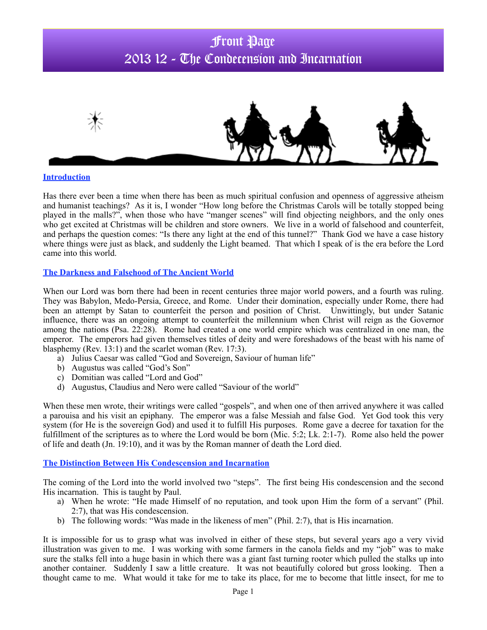# Front Page 2013 12 - The Condecension and Incarnation



#### **Introduction**

Has there ever been a time when there has been as much spiritual confusion and openness of aggressive atheism and humanist teachings? As it is, I wonder "How long before the Christmas Carols will be totally stopped being played in the malls?", when those who have "manger scenes" will find objecting neighbors, and the only ones who get excited at Christmas will be children and store owners. We live in a world of falsehood and counterfeit, and perhaps the question comes: "Is there any light at the end of this tunnel?" Thank God we have a case history where things were just as black, and suddenly the Light beamed. That which I speak of is the era before the Lord came into this world.

### **The Darkness and Falsehood of The Ancient World**

When our Lord was born there had been in recent centuries three major world powers, and a fourth was ruling. They was Babylon, Medo-Persia, Greece, and Rome. Under their domination, especially under Rome, there had been an attempt by Satan to counterfeit the person and position of Christ. Unwittingly, but under Satanic influence, there was an ongoing attempt to counterfeit the millennium when Christ will reign as the Governor among the nations (Psa. 22:28). Rome had created a one world empire which was centralized in one man, the emperor. The emperors had given themselves titles of deity and were foreshadows of the beast with his name of blasphemy (Rev. 13:1) and the scarlet woman (Rev. 17:3).

- a) Julius Caesar was called "God and Sovereign, Saviour of human life"
- b) Augustus was called "God's Son"
- c) Domitian was called "Lord and God"
- d) Augustus, Claudius and Nero were called "Saviour of the world"

When these men wrote, their writings were called "gospels", and when one of then arrived anywhere it was called a parouisa and his visit an epiphany. The emperor was a false Messiah and false God. Yet God took this very system (for He is the sovereign God) and used it to fulfill His purposes. Rome gave a decree for taxation for the fulfillment of the scriptures as to where the Lord would be born (Mic. 5:2; Lk. 2:1-7). Rome also held the power of life and death (Jn. 19:10), and it was by the Roman manner of death the Lord died.

### **The Distinction Between His Condescension and Incarnation**

The coming of the Lord into the world involved two "steps". The first being His condescension and the second His incarnation. This is taught by Paul.

- a) When he wrote: "He made Himself of no reputation, and took upon Him the form of a servant" (Phil. 2:7), that was His condescension.
- b) The following words: "Was made in the likeness of men" (Phil. 2:7), that is His incarnation.

It is impossible for us to grasp what was involved in either of these steps, but several years ago a very vivid illustration was given to me. I was working with some farmers in the canola fields and my "job" was to make sure the stalks fell into a huge basin in which there was a giant fast turning rooter which pulled the stalks up into another container. Suddenly I saw a little creature. It was not beautifully colored but gross looking. Then a thought came to me. What would it take for me to take its place, for me to become that little insect, for me to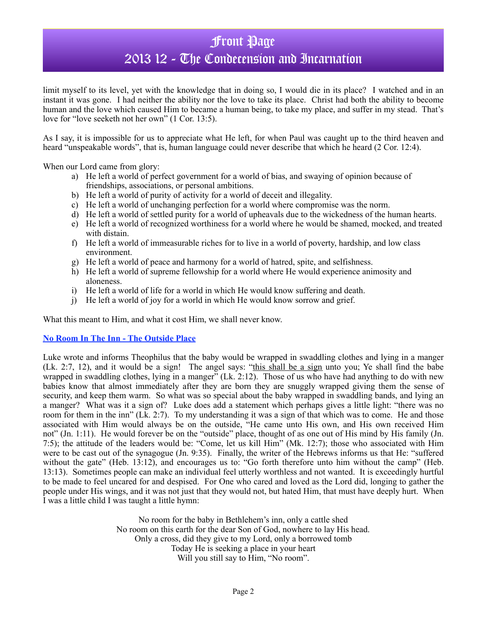## Front Page

## 2013 12 - The Condecension and Incarnation

limit myself to its level, yet with the knowledge that in doing so, I would die in its place? I watched and in an instant it was gone. I had neither the ability nor the love to take its place. Christ had both the ability to become human and the love which caused Him to became a human being, to take my place, and suffer in my stead. That's love for "love seeketh not her own" (1 Cor. 13:5).

As I say, it is impossible for us to appreciate what He left, for when Paul was caught up to the third heaven and heard "unspeakable words", that is, human language could never describe that which he heard (2 Cor. 12:4).

When our Lord came from glory:

- a) He left a world of perfect government for a world of bias, and swaying of opinion because of friendships, associations, or personal ambitions.
- b) He left a world of purity of activity for a world of deceit and illegality.
- c) He left a world of unchanging perfection for a world where compromise was the norm.
- d) He left a world of settled purity for a world of upheavals due to the wickedness of the human hearts.
- e) He left a world of recognized worthiness for a world where he would be shamed, mocked, and treated with distain.
- f) He left a world of immeasurable riches for to live in a world of poverty, hardship, and low class environment.
- g) He left a world of peace and harmony for a world of hatred, spite, and selfishness.
- h) He left a world of supreme fellowship for a world where He would experience animosity and aloneness.
- i) He left a world of life for a world in which He would know suffering and death.
- j) He left a world of joy for a world in which He would know sorrow and grief.

What this meant to Him, and what it cost Him, we shall never know.

### **No Room In The Inn - The Outside Place**

Luke wrote and informs Theophilus that the baby would be wrapped in swaddling clothes and lying in a manger (Lk. 2:7, 12), and it would be a sign! The angel says: "this shall be a sign unto you; Ye shall find the babe wrapped in swaddling clothes, lying in a manger" (Lk. 2:12). Those of us who have had anything to do with new babies know that almost immediately after they are born they are snuggly wrapped giving them the sense of security, and keep them warm. So what was so special about the baby wrapped in swaddling bands, and lying an a manger? What was it a sign of? Luke does add a statement which perhaps gives a little light: "there was no room for them in the inn" (Lk. 2:7). To my understanding it was a sign of that which was to come. He and those associated with Him would always be on the outside, "He came unto His own, and His own received Him not" (Jn. 1:11). He would forever be on the "outside" place, thought of as one out of His mind by His family (Jn. 7:5); the attitude of the leaders would be: "Come, let us kill Him" (Mk. 12:7); those who associated with Him were to be cast out of the synagogue (Jn. 9:35). Finally, the writer of the Hebrews informs us that He: "suffered without the gate" (Heb. 13:12), and encourages us to: "Go forth therefore unto him without the camp" (Heb. 13:13). Sometimes people can make an individual feel utterly worthless and not wanted. It is exceedingly hurtful to be made to feel uncared for and despised. For One who cared and loved as the Lord did, longing to gather the people under His wings, and it was not just that they would not, but hated Him, that must have deeply hurt. When I was a little child I was taught a little hymn:

> No room for the baby in Bethlehem's inn, only a cattle shed No room on this earth for the dear Son of God, nowhere to lay His head. Only a cross, did they give to my Lord, only a borrowed tomb Today He is seeking a place in your heart Will you still say to Him, "No room".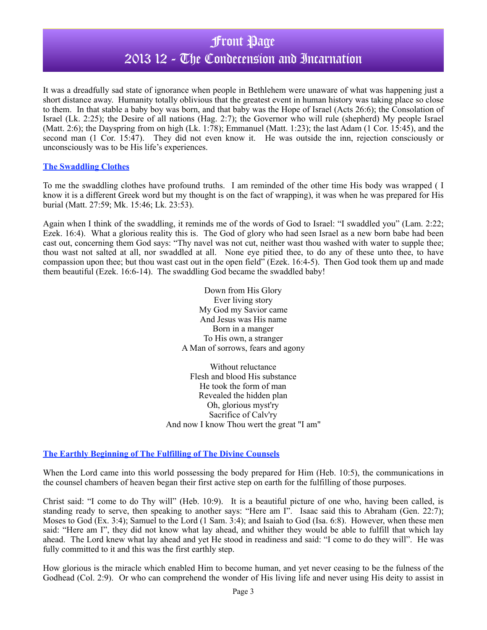## Front Page

## 2013 12 - The Condecension and Incarnation

It was a dreadfully sad state of ignorance when people in Bethlehem were unaware of what was happening just a short distance away. Humanity totally oblivious that the greatest event in human history was taking place so close to them. In that stable a baby boy was born, and that baby was the Hope of Israel (Acts 26:6); the Consolation of Israel (Lk. 2:25); the Desire of all nations (Hag. 2:7); the Governor who will rule (shepherd) My people Israel (Matt. 2:6); the Dayspring from on high (Lk. 1:78); Emmanuel (Matt. 1:23); the last Adam (1 Cor. 15:45), and the second man (1 Cor. 15:47). They did not even know it. He was outside the inn, rejection consciously or unconsciously was to be His life's experiences.

### **The Swaddling Clothes**

To me the swaddling clothes have profound truths. I am reminded of the other time His body was wrapped ( I know it is a different Greek word but my thought is on the fact of wrapping), it was when he was prepared for His burial (Matt. 27:59; Mk. 15:46; Lk. 23:53).

Again when I think of the swaddling, it reminds me of the words of God to Israel: "I swaddled you" (Lam. 2:22; Ezek. 16:4). What a glorious reality this is. The God of glory who had seen Israel as a new born babe had been cast out, concerning them God says: "Thy navel was not cut, neither wast thou washed with water to supple thee; thou wast not salted at all, nor swaddled at all. None eye pitied thee, to do any of these unto thee, to have compassion upon thee; but thou wast cast out in the open field" (Ezek. 16:4-5). Then God took them up and made them beautiful (Ezek. 16:6-14). The swaddling God became the swaddled baby!

> Down from His Glory Ever living story My God my Savior came And Jesus was His name Born in a manger To His own, a stranger A Man of sorrows, fears and agony

Without reluctance Flesh and blood His substance He took the form of man Revealed the hidden plan Oh, glorious myst'ry Sacrifice of Calv'ry And now I know Thou wert the great "I am"

### **The Earthly Beginning of The Fulfilling of The Divine Counsels**

When the Lord came into this world possessing the body prepared for Him (Heb. 10:5), the communications in the counsel chambers of heaven began their first active step on earth for the fulfilling of those purposes.

Christ said: "I come to do Thy will" (Heb. 10:9). It is a beautiful picture of one who, having been called, is standing ready to serve, then speaking to another says: "Here am I". Isaac said this to Abraham (Gen. 22:7); Moses to God (Ex. 3:4); Samuel to the Lord (1 Sam. 3:4); and Isaiah to God (Isa. 6:8). However, when these men said: "Here am I", they did not know what lay ahead, and whither they would be able to fulfill that which lay ahead. The Lord knew what lay ahead and yet He stood in readiness and said: "I come to do they will". He was fully committed to it and this was the first earthly step.

How glorious is the miracle which enabled Him to become human, and yet never ceasing to be the fulness of the Godhead (Col. 2:9). Or who can comprehend the wonder of His living life and never using His deity to assist in